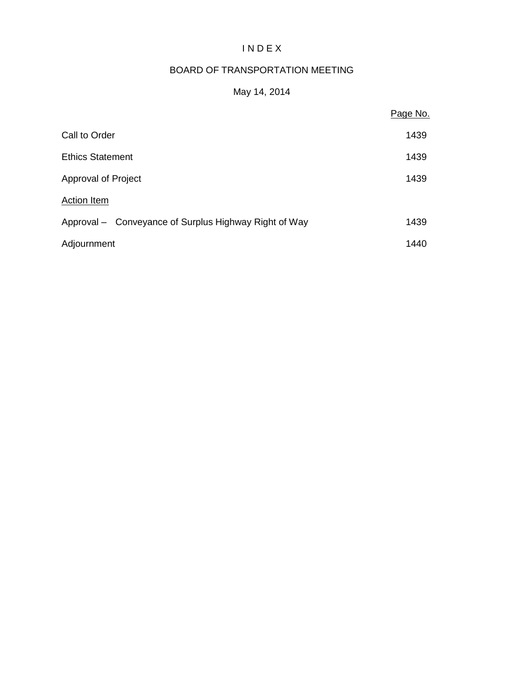# I N D E X

## BOARD OF TRANSPORTATION MEETING

## May 14, 2014

|                                                       | Page No. |
|-------------------------------------------------------|----------|
| Call to Order                                         | 1439     |
| <b>Ethics Statement</b>                               | 1439     |
| Approval of Project                                   | 1439     |
| <b>Action Item</b>                                    |          |
| Approval – Conveyance of Surplus Highway Right of Way | 1439     |
| Adjournment                                           | 1440     |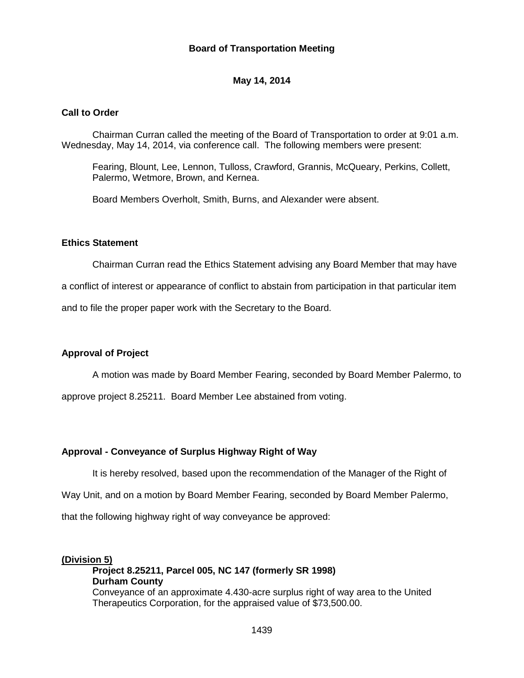### **Board of Transportation Meeting**

### **May 14, 2014**

#### **Call to Order**

Chairman Curran called the meeting of the Board of Transportation to order at 9:01 a.m. Wednesday, May 14, 2014, via conference call. The following members were present:

Fearing, Blount, Lee, Lennon, Tulloss, Crawford, Grannis, McQueary, Perkins, Collett, Palermo, Wetmore, Brown, and Kernea.

Board Members Overholt, Smith, Burns, and Alexander were absent.

#### **Ethics Statement**

Chairman Curran read the Ethics Statement advising any Board Member that may have a conflict of interest or appearance of conflict to abstain from participation in that particular item

and to file the proper paper work with the Secretary to the Board.

#### **Approval of Project**

A motion was made by Board Member Fearing, seconded by Board Member Palermo, to

approve project 8.25211. Board Member Lee abstained from voting.

#### **Approval - Conveyance of Surplus Highway Right of Way**

It is hereby resolved, based upon the recommendation of the Manager of the Right of

Way Unit, and on a motion by Board Member Fearing, seconded by Board Member Palermo,

that the following highway right of way conveyance be approved:

### **(Division 5) Project 8.25211, Parcel 005, NC 147 (formerly SR 1998) Durham County** Conveyance of an approximate 4.430-acre surplus right of way area to the United Therapeutics Corporation, for the appraised value of \$73,500.00.